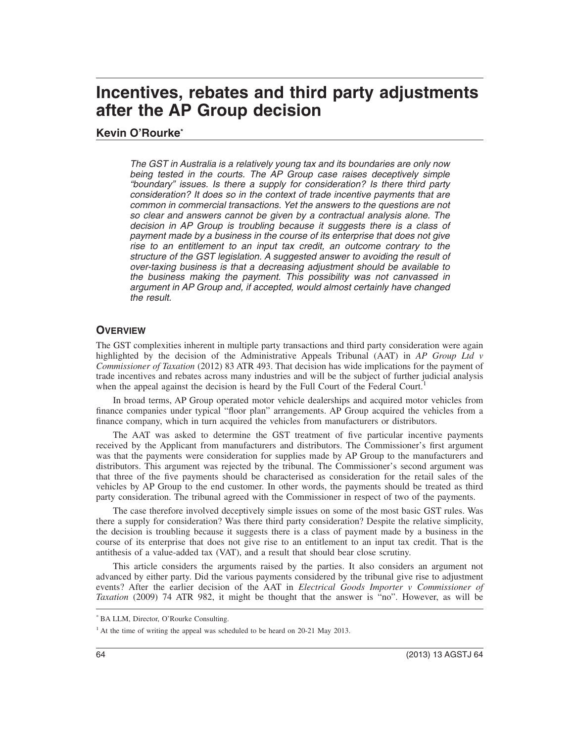# **Incentives, rebates and third party adjustments after the AP Group decision**

# **Kevin O'Rourke\***

The GST in Australia is a relatively young tax and its boundaries are only now being tested in the courts. The AP Group case raises deceptively simple "boundary" issues. Is there a supply for consideration? Is there third party consideration? It does so in the context of trade incentive payments that are common in commercial transactions. Yet the answers to the questions are not so clear and answers cannot be given by a contractual analysis alone. The decision in AP Group is troubling because it suggests there is a class of payment made by a business in the course of its enterprise that does not give rise to an entitlement to an input tax credit, an outcome contrary to the structure of the GST legislation. A suggested answer to avoiding the result of over-taxing business is that a decreasing adjustment should be available to the business making the payment. This possibility was not canvassed in argument in AP Group and, if accepted, would almost certainly have changed the result.

## **OVERVIEW**

The GST complexities inherent in multiple party transactions and third party consideration were again highlighted by the decision of the Administrative Appeals Tribunal (AAT) in *AP Group Ltd v Commissioner of Taxation* (2012) 83 ATR 493. That decision has wide implications for the payment of trade incentives and rebates across many industries and will be the subject of further judicial analysis when the appeal against the decision is heard by the Full Court of the Federal Court.

In broad terms, AP Group operated motor vehicle dealerships and acquired motor vehicles from finance companies under typical "floor plan" arrangements. AP Group acquired the vehicles from a finance company, which in turn acquired the vehicles from manufacturers or distributors.

The AAT was asked to determine the GST treatment of five particular incentive payments received by the Applicant from manufacturers and distributors. The Commissioner's first argument was that the payments were consideration for supplies made by AP Group to the manufacturers and distributors. This argument was rejected by the tribunal. The Commissioner's second argument was that three of the five payments should be characterised as consideration for the retail sales of the vehicles by AP Group to the end customer. In other words, the payments should be treated as third party consideration. The tribunal agreed with the Commissioner in respect of two of the payments.

The case therefore involved deceptively simple issues on some of the most basic GST rules. Was there a supply for consideration? Was there third party consideration? Despite the relative simplicity, the decision is troubling because it suggests there is a class of payment made by a business in the course of its enterprise that does not give rise to an entitlement to an input tax credit. That is the antithesis of a value-added tax (VAT), and a result that should bear close scrutiny.

This article considers the arguments raised by the parties. It also considers an argument not advanced by either party. Did the various payments considered by the tribunal give rise to adjustment events? After the earlier decision of the AAT in *Electrical Goods Importer v Commissioner of Taxation* (2009) 74 ATR 982, it might be thought that the answer is "no". However, as will be

<sup>\*</sup> BA LLM, Director, O'Rourke Consulting.

<sup>&</sup>lt;sup>1</sup> At the time of writing the appeal was scheduled to be heard on 20-21 May 2013.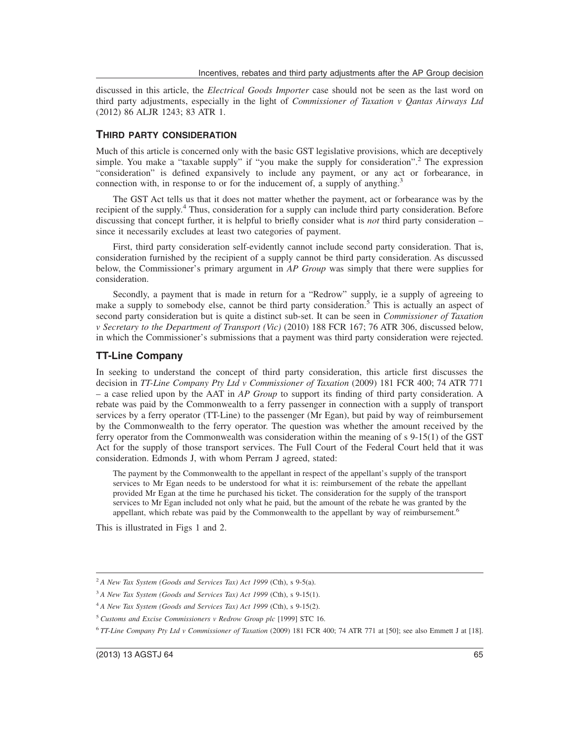discussed in this article, the *Electrical Goods Importer* case should not be seen as the last word on third party adjustments, especially in the light of *Commissioner of Taxation v Qantas Airways Ltd* (2012) 86 ALJR 1243; 83 ATR 1.

## **THIRD PARTY CONSIDERATION**

Much of this article is concerned only with the basic GST legislative provisions, which are deceptively simple. You make a "taxable supply" if "you make the supply for consideration".<sup>2</sup> The expression "consideration" is defined expansively to include any payment, or any act or forbearance, in connection with, in response to or for the inducement of, a supply of anything.<sup>3</sup>

The GST Act tells us that it does not matter whether the payment, act or forbearance was by the recipient of the supply.<sup>4</sup> Thus, consideration for a supply can include third party consideration. Before discussing that concept further, it is helpful to briefly consider what is *not* third party consideration – since it necessarily excludes at least two categories of payment.

First, third party consideration self-evidently cannot include second party consideration. That is, consideration furnished by the recipient of a supply cannot be third party consideration. As discussed below, the Commissioner's primary argument in *AP Group* was simply that there were supplies for consideration.

Secondly, a payment that is made in return for a "Redrow" supply, ie a supply of agreeing to make a supply to somebody else, cannot be third party consideration.<sup>5</sup> This is actually an aspect of second party consideration but is quite a distinct sub-set. It can be seen in *Commissioner of Taxation v Secretary to the Department of Transport (Vic)* (2010) 188 FCR 167; 76 ATR 306, discussed below, in which the Commissioner's submissions that a payment was third party consideration were rejected.

## **TT-Line Company**

In seeking to understand the concept of third party consideration, this article first discusses the decision in *TT-Line Company Pty Ltd v Commissioner of Taxation* (2009) 181 FCR 400; 74 ATR 771 – a case relied upon by the AAT in *AP Group* to support its finding of third party consideration. A rebate was paid by the Commonwealth to a ferry passenger in connection with a supply of transport services by a ferry operator (TT-Line) to the passenger (Mr Egan), but paid by way of reimbursement by the Commonwealth to the ferry operator. The question was whether the amount received by the ferry operator from the Commonwealth was consideration within the meaning of s 9-15(1) of the GST Act for the supply of those transport services. The Full Court of the Federal Court held that it was consideration. Edmonds J, with whom Perram J agreed, stated:

The payment by the Commonwealth to the appellant in respect of the appellant's supply of the transport services to Mr Egan needs to be understood for what it is: reimbursement of the rebate the appellant provided Mr Egan at the time he purchased his ticket. The consideration for the supply of the transport services to Mr Egan included not only what he paid, but the amount of the rebate he was granted by the appellant, which rebate was paid by the Commonwealth to the appellant by way of reimbursement.<sup>6</sup>

This is illustrated in Figs 1 and 2.

<sup>2</sup> *A New Tax System (Goods and Services Tax) Act 1999* (Cth), s 9-5(a).

<sup>3</sup> *A New Tax System (Goods and Services Tax) Act 1999* (Cth), s 9-15(1).

<sup>4</sup> *A New Tax System (Goods and Services Tax) Act 1999* (Cth), s 9-15(2).

<sup>5</sup> *Customs and Excise Commissioners v Redrow Group plc* [1999] STC 16.

<sup>6</sup> *TT-Line Company Pty Ltd v Commissioner of Taxation* (2009) 181 FCR 400; 74 ATR 771 at [50]; see also Emmett J at [18].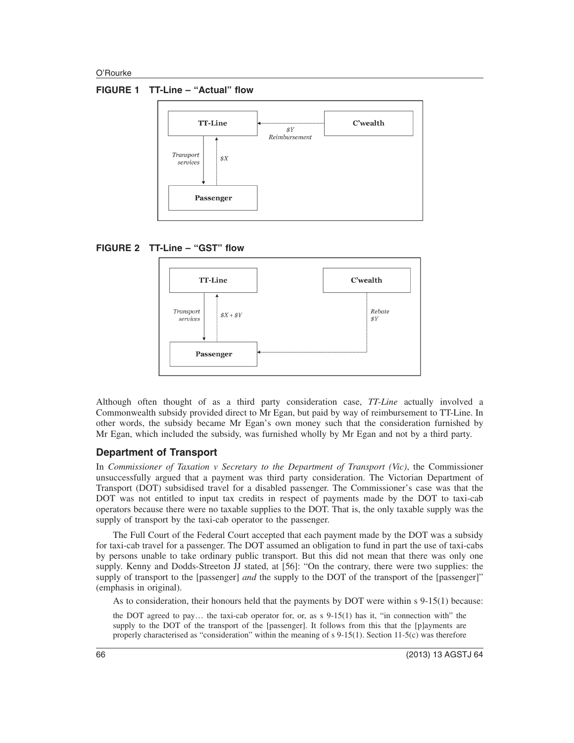## **FIGURE 1 TT-Line – "Actual" flow**



## **FIGURE 2 TT-Line – "GST" flow**



Although often thought of as a third party consideration case, *TT-Line* actually involved a Commonwealth subsidy provided direct to Mr Egan, but paid by way of reimbursement to TT-Line. In other words, the subsidy became Mr Egan's own money such that the consideration furnished by Mr Egan, which included the subsidy, was furnished wholly by Mr Egan and not by a third party.

#### **Department of Transport**

In *Commissioner of Taxation v Secretary to the Department of Transport (Vic)*, the Commissioner unsuccessfully argued that a payment was third party consideration. The Victorian Department of Transport (DOT) subsidised travel for a disabled passenger. The Commissioner's case was that the DOT was not entitled to input tax credits in respect of payments made by the DOT to taxi-cab operators because there were no taxable supplies to the DOT. That is, the only taxable supply was the supply of transport by the taxi-cab operator to the passenger.

The Full Court of the Federal Court accepted that each payment made by the DOT was a subsidy for taxi-cab travel for a passenger. The DOT assumed an obligation to fund in part the use of taxi-cabs by persons unable to take ordinary public transport. But this did not mean that there was only one supply. Kenny and Dodds-Streeton JJ stated, at [56]: "On the contrary, there were two supplies: the supply of transport to the [passenger] *and* the supply to the DOT of the transport of the [passenger]" (emphasis in original).

As to consideration, their honours held that the payments by DOT were within s 9-15(1) because:

the DOT agreed to pay… the taxi-cab operator for, or, as s 9-15(1) has it, "in connection with" the supply to the DOT of the transport of the [passenger]. It follows from this that the [p]ayments are properly characterised as "consideration" within the meaning of s 9-15(1). Section 11-5(c) was therefore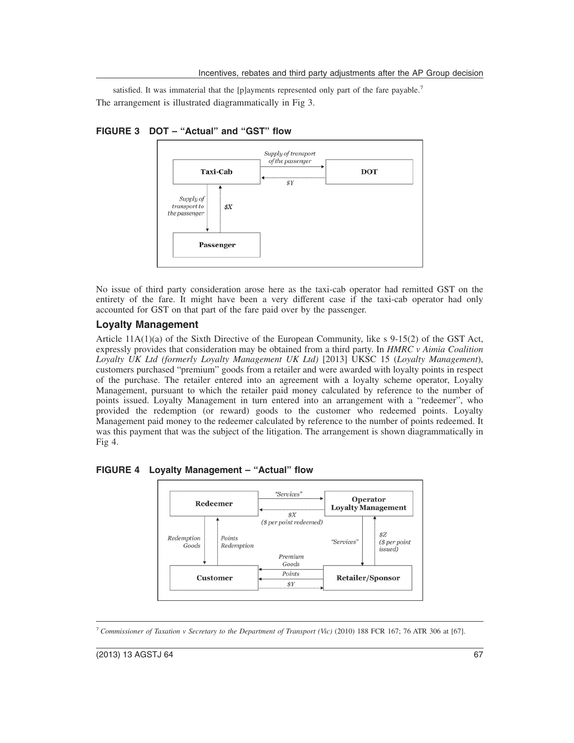satisfied. It was immaterial that the [p]ayments represented only part of the fare payable.<sup>7</sup> The arrangement is illustrated diagrammatically in Fig 3.

**FIGURE 3 DOT – "Actual" and "GST" flow**



No issue of third party consideration arose here as the taxi-cab operator had remitted GST on the entirety of the fare. It might have been a very different case if the taxi-cab operator had only accounted for GST on that part of the fare paid over by the passenger.

## **Loyalty Management**

Article 11A(1)(a) of the Sixth Directive of the European Community, like s 9-15(2) of the GST Act, expressly provides that consideration may be obtained from a third party. In *HMRC v Aimia Coalition Loyalty UK Ltd (formerly Loyalty Management UK Ltd)* [2013] UKSC 15 (*Loyalty Management*), customers purchased "premium" goods from a retailer and were awarded with loyalty points in respect of the purchase. The retailer entered into an agreement with a loyalty scheme operator, Loyalty Management, pursuant to which the retailer paid money calculated by reference to the number of points issued. Loyalty Management in turn entered into an arrangement with a "redeemer", who provided the redemption (or reward) goods to the customer who redeemed points. Loyalty Management paid money to the redeemer calculated by reference to the number of points redeemed. It was this payment that was the subject of the litigation. The arrangement is shown diagrammatically in  $Fig 4.$ 

**FIGURE 4 Loyalty Management – "Actual" flow**



<sup>7</sup> *Commissioner of Taxation v Secretary to the Department of Transport (Vic)* (2010) 188 FCR 167; 76 ATR 306 at [67].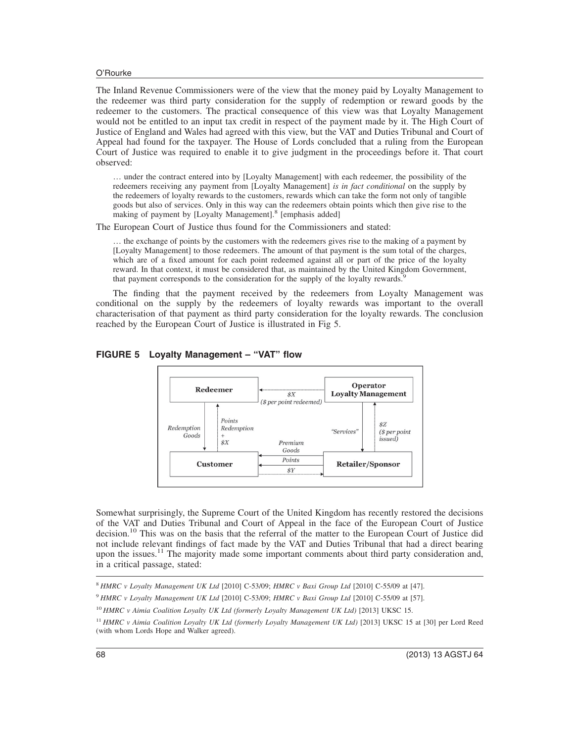The Inland Revenue Commissioners were of the view that the money paid by Loyalty Management to the redeemer was third party consideration for the supply of redemption or reward goods by the redeemer to the customers. The practical consequence of this view was that Loyalty Management would not be entitled to an input tax credit in respect of the payment made by it. The High Court of Justice of England and Wales had agreed with this view, but the VAT and Duties Tribunal and Court of Appeal had found for the taxpayer. The House of Lords concluded that a ruling from the European Court of Justice was required to enable it to give judgment in the proceedings before it. That court observed:

… under the contract entered into by [Loyalty Management] with each redeemer, the possibility of the redeemers receiving any payment from [Loyalty Management] *is in fact conditional* on the supply by the redeemers of loyalty rewards to the customers, rewards which can take the form not only of tangible goods but also of services. Only in this way can the redeemers obtain points which then give rise to the making of payment by [Loyalty Management].<sup>8</sup> [emphasis added]

The European Court of Justice thus found for the Commissioners and stated:

… the exchange of points by the customers with the redeemers gives rise to the making of a payment by [Loyalty Management] to those redeemers. The amount of that payment is the sum total of the charges, which are of a fixed amount for each point redeemed against all or part of the price of the loyalty reward. In that context, it must be considered that, as maintained by the United Kingdom Government, that payment corresponds to the consideration for the supply of the loyalty rewards.

The finding that the payment received by the redeemers from Loyalty Management was conditional on the supply by the redeemers of loyalty rewards was important to the overall characterisation of that payment as third party consideration for the loyalty rewards. The conclusion reached by the European Court of Justice is illustrated in Fig 5.



#### **FIGURE 5 Loyalty Management – "VAT" flow**

Somewhat surprisingly, the Supreme Court of the United Kingdom has recently restored the decisions of the VAT and Duties Tribunal and Court of Appeal in the face of the European Court of Justice decision.<sup>10</sup> This was on the basis that the referral of the matter to the European Court of Justice did not include relevant findings of fact made by the VAT and Duties Tribunal that had a direct bearing upon the issues.<sup>11</sup> The majority made some important comments about third party consideration and, in a critical passage, stated:

<sup>8</sup> *HMRC v Loyalty Management UK Ltd* [2010] C-53/09; *HMRC v Baxi Group Ltd* [2010] C-55/09 at [47].

<sup>9</sup> *HMRC v Loyalty Management UK Ltd* [2010] C-53/09; *HMRC v Baxi Group Ltd* [2010] C-55/09 at [57].

<sup>10</sup> *HMRC v Aimia Coalition Loyalty UK Ltd (formerly Loyalty Management UK Ltd)* [2013] UKSC 15.

<sup>11</sup> *HMRC v Aimia Coalition Loyalty UK Ltd (formerly Loyalty Management UK Ltd)* [2013] UKSC 15 at [30] per Lord Reed (with whom Lords Hope and Walker agreed).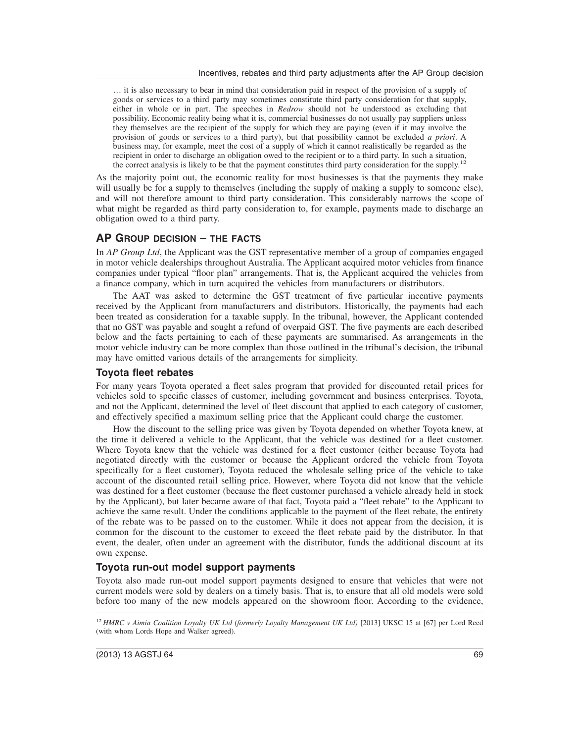… it is also necessary to bear in mind that consideration paid in respect of the provision of a supply of goods or services to a third party may sometimes constitute third party consideration for that supply, either in whole or in part. The speeches in *Redrow* should not be understood as excluding that possibility. Economic reality being what it is, commercial businesses do not usually pay suppliers unless they themselves are the recipient of the supply for which they are paying (even if it may involve the provision of goods or services to a third party), but that possibility cannot be excluded *a priori*. A business may, for example, meet the cost of a supply of which it cannot realistically be regarded as the recipient in order to discharge an obligation owed to the recipient or to a third party. In such a situation, the correct analysis is likely to be that the payment constitutes third party consideration for the supply.<sup>12</sup>

As the majority point out, the economic reality for most businesses is that the payments they make will usually be for a supply to themselves (including the supply of making a supply to someone else), and will not therefore amount to third party consideration. This considerably narrows the scope of what might be regarded as third party consideration to, for example, payments made to discharge an obligation owed to a third party.

## **AP GROUP DECISION – THE FACTS**

In *AP Group Ltd*, the Applicant was the GST representative member of a group of companies engaged in motor vehicle dealerships throughout Australia. The Applicant acquired motor vehicles from finance companies under typical "floor plan" arrangements. That is, the Applicant acquired the vehicles from a finance company, which in turn acquired the vehicles from manufacturers or distributors.

The AAT was asked to determine the GST treatment of five particular incentive payments received by the Applicant from manufacturers and distributors. Historically, the payments had each been treated as consideration for a taxable supply. In the tribunal, however, the Applicant contended that no GST was payable and sought a refund of overpaid GST. The five payments are each described below and the facts pertaining to each of these payments are summarised. As arrangements in the motor vehicle industry can be more complex than those outlined in the tribunal's decision, the tribunal may have omitted various details of the arrangements for simplicity.

## **Toyota fleet rebates**

For many years Toyota operated a fleet sales program that provided for discounted retail prices for vehicles sold to specific classes of customer, including government and business enterprises. Toyota, and not the Applicant, determined the level of fleet discount that applied to each category of customer, and effectively specified a maximum selling price that the Applicant could charge the customer.

How the discount to the selling price was given by Toyota depended on whether Toyota knew, at the time it delivered a vehicle to the Applicant, that the vehicle was destined for a fleet customer. Where Toyota knew that the vehicle was destined for a fleet customer (either because Toyota had negotiated directly with the customer or because the Applicant ordered the vehicle from Toyota specifically for a fleet customer), Toyota reduced the wholesale selling price of the vehicle to take account of the discounted retail selling price. However, where Toyota did not know that the vehicle was destined for a fleet customer (because the fleet customer purchased a vehicle already held in stock by the Applicant), but later became aware of that fact, Toyota paid a "fleet rebate" to the Applicant to achieve the same result. Under the conditions applicable to the payment of the fleet rebate, the entirety of the rebate was to be passed on to the customer. While it does not appear from the decision, it is common for the discount to the customer to exceed the fleet rebate paid by the distributor. In that event, the dealer, often under an agreement with the distributor, funds the additional discount at its own expense.

## **Toyota run-out model support payments**

Toyota also made run-out model support payments designed to ensure that vehicles that were not current models were sold by dealers on a timely basis. That is, to ensure that all old models were sold before too many of the new models appeared on the showroom floor. According to the evidence,

<sup>12</sup> *HMRC v Aimia Coalition Loyalty UK Ltd (formerly Loyalty Management UK Ltd)* [2013] UKSC 15 at [67] per Lord Reed (with whom Lords Hope and Walker agreed).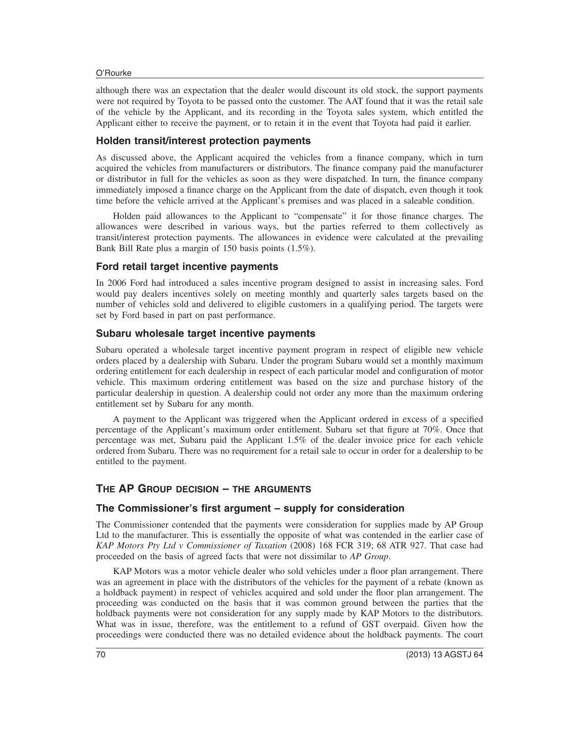although there was an expectation that the dealer would discount its old stock, the support payments were not required by Toyota to be passed onto the customer. The AAT found that it was the retail sale of the vehicle by the Applicant, and its recording in the Toyota sales system, which entitled the Applicant either to receive the payment, or to retain it in the event that Toyota had paid it earlier.

## **Holden transit/interest protection payments**

As discussed above, the Applicant acquired the vehicles from a finance company, which in turn acquired the vehicles from manufacturers or distributors. The finance company paid the manufacturer or distributor in full for the vehicles as soon as they were dispatched. In turn, the finance company immediately imposed a finance charge on the Applicant from the date of dispatch, even though it took time before the vehicle arrived at the Applicant's premises and was placed in a saleable condition.

Holden paid allowances to the Applicant to "compensate" it for those finance charges. The allowances were described in various ways, but the parties referred to them collectively as transit/interest protection payments. The allowances in evidence were calculated at the prevailing Bank Bill Rate plus a margin of 150 basis points (1.5%).

## **Ford retail target incentive payments**

In 2006 Ford had introduced a sales incentive program designed to assist in increasing sales. Ford would pay dealers incentives solely on meeting monthly and quarterly sales targets based on the number of vehicles sold and delivered to eligible customers in a qualifying period. The targets were set by Ford based in part on past performance.

## **Subaru wholesale target incentive payments**

Subaru operated a wholesale target incentive payment program in respect of eligible new vehicle orders placed by a dealership with Subaru. Under the program Subaru would set a monthly maximum ordering entitlement for each dealership in respect of each particular model and configuration of motor vehicle. This maximum ordering entitlement was based on the size and purchase history of the particular dealership in question. A dealership could not order any more than the maximum ordering entitlement set by Subaru for any month.

A payment to the Applicant was triggered when the Applicant ordered in excess of a specified percentage of the Applicant's maximum order entitlement. Subaru set that figure at 70%. Once that percentage was met, Subaru paid the Applicant 1.5% of the dealer invoice price for each vehicle ordered from Subaru. There was no requirement for a retail sale to occur in order for a dealership to be entitled to the payment.

## **THE AP GROUP DECISION – THE ARGUMENTS**

## **The Commissioner's first argument – supply for consideration**

The Commissioner contended that the payments were consideration for supplies made by AP Group Ltd to the manufacturer. This is essentially the opposite of what was contended in the earlier case of *KAP Motors Pty Ltd v Commissioner of Taxation* (2008) 168 FCR 319; 68 ATR 927. That case had proceeded on the basis of agreed facts that were not dissimilar to *AP Group*.

KAP Motors was a motor vehicle dealer who sold vehicles under a floor plan arrangement. There was an agreement in place with the distributors of the vehicles for the payment of a rebate (known as a holdback payment) in respect of vehicles acquired and sold under the floor plan arrangement. The proceeding was conducted on the basis that it was common ground between the parties that the holdback payments were not consideration for any supply made by KAP Motors to the distributors. What was in issue, therefore, was the entitlement to a refund of GST overpaid. Given how the proceedings were conducted there was no detailed evidence about the holdback payments. The court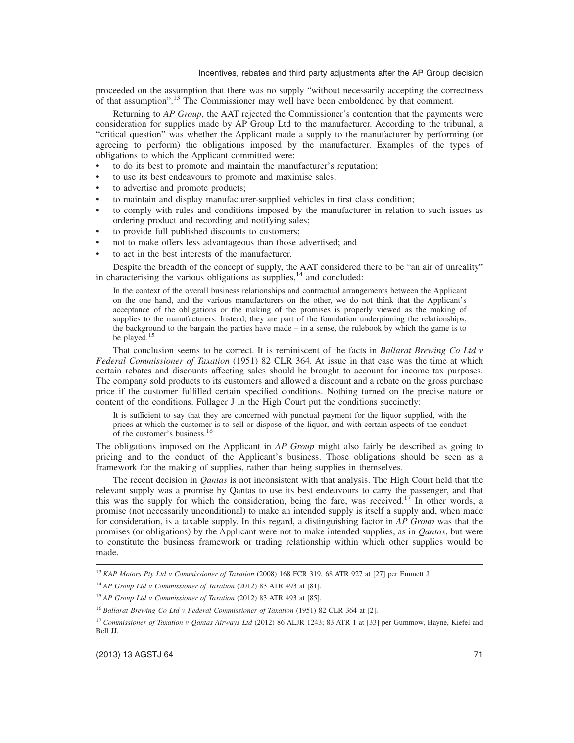proceeded on the assumption that there was no supply "without necessarily accepting the correctness of that assumption".<sup>13</sup> The Commissioner may well have been emboldened by that comment.

Returning to *AP Group*, the AAT rejected the Commissioner's contention that the payments were consideration for supplies made by AP Group Ltd to the manufacturer. According to the tribunal, a "critical question" was whether the Applicant made a supply to the manufacturer by performing (or agreeing to perform) the obligations imposed by the manufacturer. Examples of the types of obligations to which the Applicant committed were:

- to do its best to promote and maintain the manufacturer's reputation;
- to use its best endeavours to promote and maximise sales;
- to advertise and promote products;
- to maintain and display manufacturer-supplied vehicles in first class condition;
- to comply with rules and conditions imposed by the manufacturer in relation to such issues as ordering product and recording and notifying sales;
- to provide full published discounts to customers;
- not to make offers less advantageous than those advertised; and
- to act in the best interests of the manufacturer.

Despite the breadth of the concept of supply, the AAT considered there to be "an air of unreality" in characterising the various obligations as supplies, $^{14}$  and concluded:

In the context of the overall business relationships and contractual arrangements between the Applicant on the one hand, and the various manufacturers on the other, we do not think that the Applicant's acceptance of the obligations or the making of the promises is properly viewed as the making of supplies to the manufacturers. Instead, they are part of the foundation underpinning the relationships, the background to the bargain the parties have made – in a sense, the rulebook by which the game is to be played.<sup>15</sup>

That conclusion seems to be correct. It is reminiscent of the facts in *Ballarat Brewing Co Ltd v Federal Commissioner of Taxation* (1951) 82 CLR 364. At issue in that case was the time at which certain rebates and discounts affecting sales should be brought to account for income tax purposes. The company sold products to its customers and allowed a discount and a rebate on the gross purchase price if the customer fulfilled certain specified conditions. Nothing turned on the precise nature or content of the conditions. Fullager J in the High Court put the conditions succinctly:

It is sufficient to say that they are concerned with punctual payment for the liquor supplied, with the prices at which the customer is to sell or dispose of the liquor, and with certain aspects of the conduct of the customer's business.<sup>16</sup>

The obligations imposed on the Applicant in *AP Group* might also fairly be described as going to pricing and to the conduct of the Applicant's business. Those obligations should be seen as a framework for the making of supplies, rather than being supplies in themselves.

The recent decision in *Qantas* is not inconsistent with that analysis. The High Court held that the relevant supply was a promise by Qantas to use its best endeavours to carry the passenger, and that this was the supply for which the consideration, being the fare, was received.<sup>17</sup> In other words, a promise (not necessarily unconditional) to make an intended supply is itself a supply and, when made for consideration, is a taxable supply. In this regard, a distinguishing factor in *AP Group* was that the promises (or obligations) by the Applicant were not to make intended supplies, as in *Qantas*, but were to constitute the business framework or trading relationship within which other supplies would be made.

<sup>16</sup> *Ballarat Brewing Co Ltd v Federal Commissioner of Taxation* (1951) 82 CLR 364 at [2].

<sup>13</sup> *KAP Motors Pty Ltd v Commissioner of Taxation* (2008) 168 FCR 319, 68 ATR 927 at [27] per Emmett J.

<sup>14</sup> *AP Group Ltd v Commissioner of Taxation* (2012) 83 ATR 493 at [81].

<sup>15</sup> *AP Group Ltd v Commissioner of Taxation* (2012) 83 ATR 493 at [85].

<sup>17</sup> *Commissioner of Taxation v Qantas Airways Ltd* (2012) 86 ALJR 1243; 83 ATR 1 at [33] per Gummow, Hayne, Kiefel and Bell JJ.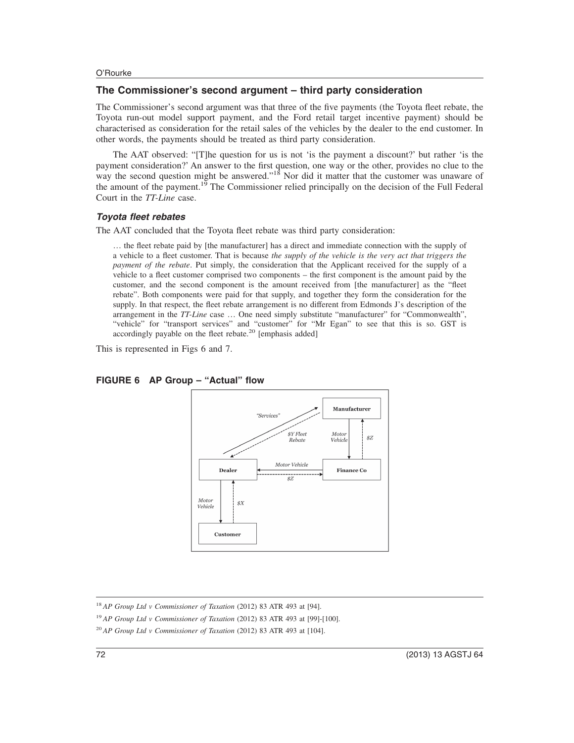#### **The Commissioner's second argument – third party consideration**

The Commissioner's second argument was that three of the five payments (the Toyota fleet rebate, the Toyota run-out model support payment, and the Ford retail target incentive payment) should be characterised as consideration for the retail sales of the vehicles by the dealer to the end customer. In other words, the payments should be treated as third party consideration.

The AAT observed: "[T]he question for us is not 'is the payment a discount?' but rather 'is the payment consideration?' An answer to the first question, one way or the other, provides no clue to the way the second question might be answered."<sup>18</sup> Nor did it matter that the customer was unaware of the amount of the payment.<sup>15</sup> The Commissioner relied principally on the decision of the Full Federal Court in the *TT-Line* case.

#### **Toyota fleet rebates**

The AAT concluded that the Toyota fleet rebate was third party consideration:

… the fleet rebate paid by [the manufacturer] has a direct and immediate connection with the supply of a vehicle to a fleet customer. That is because *the supply of the vehicle is the very act that triggers the payment of the rebate*. Put simply, the consideration that the Applicant received for the supply of a vehicle to a fleet customer comprised two components – the first component is the amount paid by the customer, and the second component is the amount received from [the manufacturer] as the "fleet rebate". Both components were paid for that supply, and together they form the consideration for the supply. In that respect, the fleet rebate arrangement is no different from Edmonds J's description of the arrangement in the *TT-Line* case … One need simply substitute "manufacturer" for "Commonwealth", "vehicle" for "transport services" and "customer" for "Mr Egan" to see that this is so. GST is accordingly payable on the fleet rebate. $20$  [emphasis added]

This is represented in Figs 6 and 7.



**FIGURE 6 AP Group – "Actual" flow**

<sup>18</sup> *AP Group Ltd v Commissioner of Taxation* (2012) 83 ATR 493 at [94].

<sup>19</sup> *AP Group Ltd v Commissioner of Taxation* (2012) 83 ATR 493 at [99]-[100].

<sup>20</sup> *AP Group Ltd v Commissioner of Taxation* (2012) 83 ATR 493 at [104].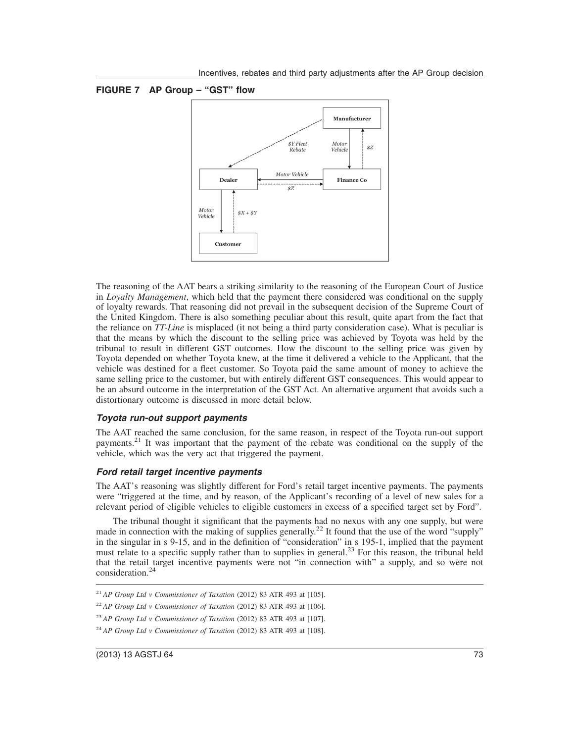



The reasoning of the AAT bears a striking similarity to the reasoning of the European Court of Justice in *Loyalty Management*, which held that the payment there considered was conditional on the supply of loyalty rewards. That reasoning did not prevail in the subsequent decision of the Supreme Court of the United Kingdom. There is also something peculiar about this result, quite apart from the fact that the reliance on *TT-Line* is misplaced (it not being a third party consideration case). What is peculiar is that the means by which the discount to the selling price was achieved by Toyota was held by the tribunal to result in different GST outcomes. How the discount to the selling price was given by Toyota depended on whether Toyota knew, at the time it delivered a vehicle to the Applicant, that the vehicle was destined for a fleet customer. So Toyota paid the same amount of money to achieve the same selling price to the customer, but with entirely different GST consequences. This would appear to be an absurd outcome in the interpretation of the GST Act. An alternative argument that avoids such a distortionary outcome is discussed in more detail below.

#### **Toyota run-out support payments**

The AAT reached the same conclusion, for the same reason, in respect of the Toyota run-out support payments.<sup>21</sup> It was important that the payment of the rebate was conditional on the supply of the vehicle, which was the very act that triggered the payment.

#### **Ford retail target incentive payments**

The AAT's reasoning was slightly different for Ford's retail target incentive payments. The payments were "triggered at the time, and by reason, of the Applicant's recording of a level of new sales for a relevant period of eligible vehicles to eligible customers in excess of a specified target set by Ford".

The tribunal thought it significant that the payments had no nexus with any one supply, but were made in connection with the making of supplies generally.<sup>22</sup> It found that the use of the word "supply" in the singular in s 9-15, and in the definition of "consideration" in s 195-1, implied that the payment must relate to a specific supply rather than to supplies in general.<sup>23</sup> For this reason, the tribunal held that the retail target incentive payments were not "in connection with" a supply, and so were not consideration.<sup>24</sup>

<sup>21</sup> *AP Group Ltd v Commissioner of Taxation* (2012) 83 ATR 493 at [105].

<sup>22</sup> *AP Group Ltd v Commissioner of Taxation* (2012) 83 ATR 493 at [106].

<sup>23</sup> *AP Group Ltd v Commissioner of Taxation* (2012) 83 ATR 493 at [107].

<sup>24</sup> *AP Group Ltd v Commissioner of Taxation* (2012) 83 ATR 493 at [108].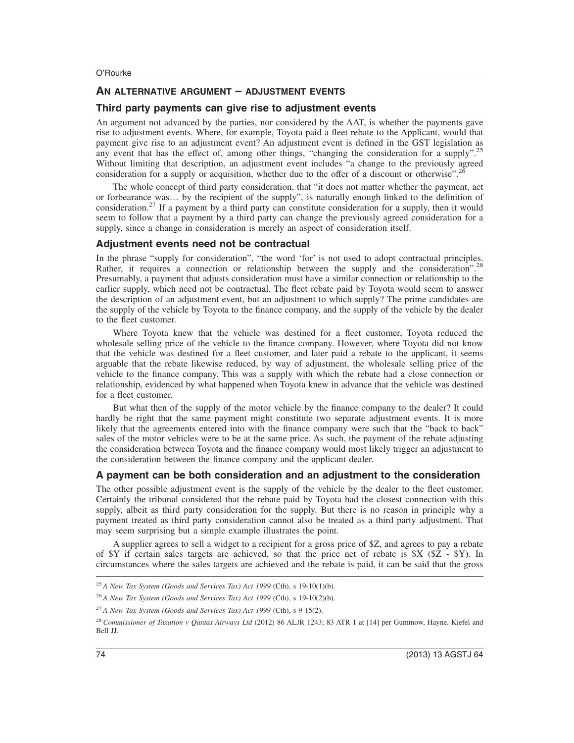## **AN ALTERNATIVE ARGUMENT – ADJUSTMENT EVENTS**

## **Third party payments can give rise to adjustment events**

An argument not advanced by the parties, nor considered by the AAT, is whether the payments gave rise to adjustment events. Where, for example, Toyota paid a fleet rebate to the Applicant, would that payment give rise to an adjustment event? An adjustment event is defined in the GST legislation as any event that has the effect of, among other things, "changing the consideration for a supply".<sup>25</sup> Without limiting that description, an adjustment event includes "a change to the previously agreed consideration for a supply or acquisition, whether due to the offer of a discount or otherwise".

The whole concept of third party consideration, that "it does not matter whether the payment, act or forbearance was… by the recipient of the supply", is naturally enough linked to the definition of consideration.<sup>27</sup> If a payment by a third party can constitute consideration for a supply, then it would seem to follow that a payment by a third party can change the previously agreed consideration for a supply, since a change in consideration is merely an aspect of consideration itself.

#### **Adjustment events need not be contractual**

In the phrase "supply for consideration", "the word 'for' is not used to adopt contractual principles. Rather, it requires a connection or relationship between the supply and the consideration".<sup>2</sup> Presumably, a payment that adjusts consideration must have a similar connection or relationship to the earlier supply, which need not be contractual. The fleet rebate paid by Toyota would seem to answer the description of an adjustment event, but an adjustment to which supply? The prime candidates are the supply of the vehicle by Toyota to the finance company, and the supply of the vehicle by the dealer to the fleet customer.

Where Toyota knew that the vehicle was destined for a fleet customer, Toyota reduced the wholesale selling price of the vehicle to the finance company. However, where Toyota did not know that the vehicle was destined for a fleet customer, and later paid a rebate to the applicant, it seems arguable that the rebate likewise reduced, by way of adjustment, the wholesale selling price of the vehicle to the finance company. This was a supply with which the rebate had a close connection or relationship, evidenced by what happened when Toyota knew in advance that the vehicle was destined for a fleet customer.

But what then of the supply of the motor vehicle by the finance company to the dealer? It could hardly be right that the same payment might constitute two separate adjustment events. It is more likely that the agreements entered into with the finance company were such that the "back to back" sales of the motor vehicles were to be at the same price. As such, the payment of the rebate adjusting the consideration between Toyota and the finance company would most likely trigger an adjustment to the consideration between the finance company and the applicant dealer.

#### **A payment can be both consideration and an adjustment to the consideration**

The other possible adjustment event is the supply of the vehicle by the dealer to the fleet customer. Certainly the tribunal considered that the rebate paid by Toyota had the closest connection with this supply, albeit as third party consideration for the supply. But there is no reason in principle why a payment treated as third party consideration cannot also be treated as a third party adjustment. That may seem surprising but a simple example illustrates the point.

A supplier agrees to sell a widget to a recipient for a gross price of \$Z, and agrees to pay a rebate of \$Y if certain sales targets are achieved, so that the price net of rebate is \$X (\$Z - \$Y). In circumstances where the sales targets are achieved and the rebate is paid, it can be said that the gross

<sup>&</sup>lt;sup>25</sup> *A New Tax System (Goods and Services Tax) Act 1999* (Cth), s 19-10(1)(b).

<sup>26</sup> *A New Tax System (Goods and Services Tax) Act 1999* (Cth), s 19-10(2)(b).

<sup>27</sup> *A New Tax System (Goods and Services Tax) Act 1999* (Cth), s 9-15(2).

<sup>28</sup> *Commissioner of Taxation v Qantas Airways Ltd* (2012) 86 ALJR 1243; 83 ATR 1 at [14] per Gummow, Hayne, Kiefel and Bell JJ.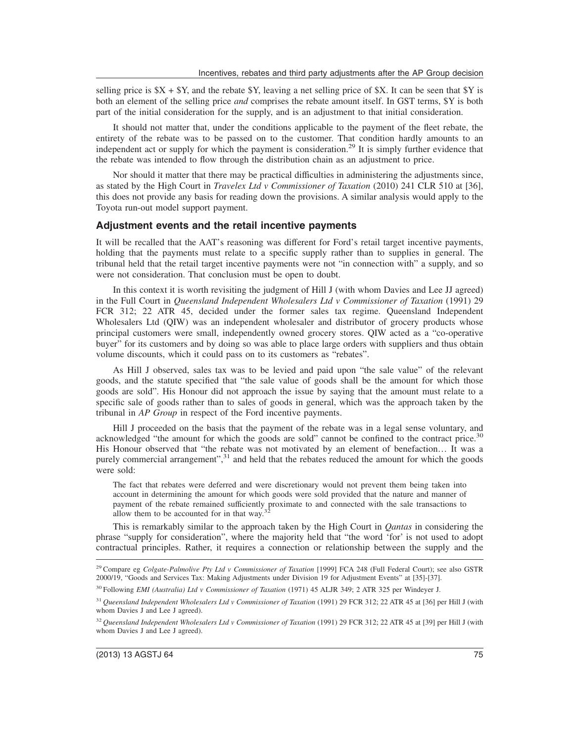selling price is  $X + Y$ , and the rebate \$Y, leaving a net selling price of \$X. It can be seen that \$Y is both an element of the selling price *and* comprises the rebate amount itself. In GST terms, \$Y is both part of the initial consideration for the supply, and is an adjustment to that initial consideration.

It should not matter that, under the conditions applicable to the payment of the fleet rebate, the entirety of the rebate was to be passed on to the customer. That condition hardly amounts to an independent act or supply for which the payment is consideration.<sup>29</sup> It is simply further evidence that the rebate was intended to flow through the distribution chain as an adjustment to price.

Nor should it matter that there may be practical difficulties in administering the adjustments since, as stated by the High Court in *Travelex Ltd v Commissioner of Taxation* (2010) 241 CLR 510 at [36], this does not provide any basis for reading down the provisions. A similar analysis would apply to the Toyota run-out model support payment.

# **Adjustment events and the retail incentive payments**

It will be recalled that the AAT's reasoning was different for Ford's retail target incentive payments, holding that the payments must relate to a specific supply rather than to supplies in general. The tribunal held that the retail target incentive payments were not "in connection with" a supply, and so were not consideration. That conclusion must be open to doubt.

In this context it is worth revisiting the judgment of Hill J (with whom Davies and Lee JJ agreed) in the Full Court in *Queensland Independent Wholesalers Ltd v Commissioner of Taxation* (1991) 29 FCR 312; 22 ATR 45, decided under the former sales tax regime. Queensland Independent Wholesalers Ltd (QIW) was an independent wholesaler and distributor of grocery products whose principal customers were small, independently owned grocery stores. QIW acted as a "co-operative buyer" for its customers and by doing so was able to place large orders with suppliers and thus obtain volume discounts, which it could pass on to its customers as "rebates".

As Hill J observed, sales tax was to be levied and paid upon "the sale value" of the relevant goods, and the statute specified that "the sale value of goods shall be the amount for which those goods are sold". His Honour did not approach the issue by saying that the amount must relate to a specific sale of goods rather than to sales of goods in general, which was the approach taken by the tribunal in *AP Group* in respect of the Ford incentive payments.

Hill J proceeded on the basis that the payment of the rebate was in a legal sense voluntary, and acknowledged "the amount for which the goods are sold" cannot be confined to the contract price.<sup>30</sup> His Honour observed that "the rebate was not motivated by an element of benefaction… It was a purely commercial arrangement",<sup>31</sup> and held that the rebates reduced the amount for which the goods were sold:

The fact that rebates were deferred and were discretionary would not prevent them being taken into account in determining the amount for which goods were sold provided that the nature and manner of payment of the rebate remained sufficiently proximate to and connected with the sale transactions to allow them to be accounted for in that way. $32$ 

This is remarkably similar to the approach taken by the High Court in *Qantas* in considering the phrase "supply for consideration", where the majority held that "the word 'for' is not used to adopt contractual principles. Rather, it requires a connection or relationship between the supply and the

<sup>29</sup> Compare eg *Colgate-Palmolive Pty Ltd v Commissioner of Taxation* [1999] FCA 248 (Full Federal Court); see also GSTR 2000/19, "Goods and Services Tax: Making Adjustments under Division 19 for Adjustment Events" at [35]-[37].

<sup>30</sup> Following *EMI (Australia) Ltd v Commissioner of Taxation* (1971) 45 ALJR 349; 2 ATR 325 per Windeyer J.

<sup>31</sup> *Queensland Independent Wholesalers Ltd v Commissioner of Taxation* (1991) 29 FCR 312; 22 ATR 45 at [36] per Hill J (with whom Davies J and Lee J agreed).

<sup>32</sup> *Queensland Independent Wholesalers Ltd v Commissioner of Taxation* (1991) 29 FCR 312; 22 ATR 45 at [39] per Hill J (with whom Davies J and Lee J agreed).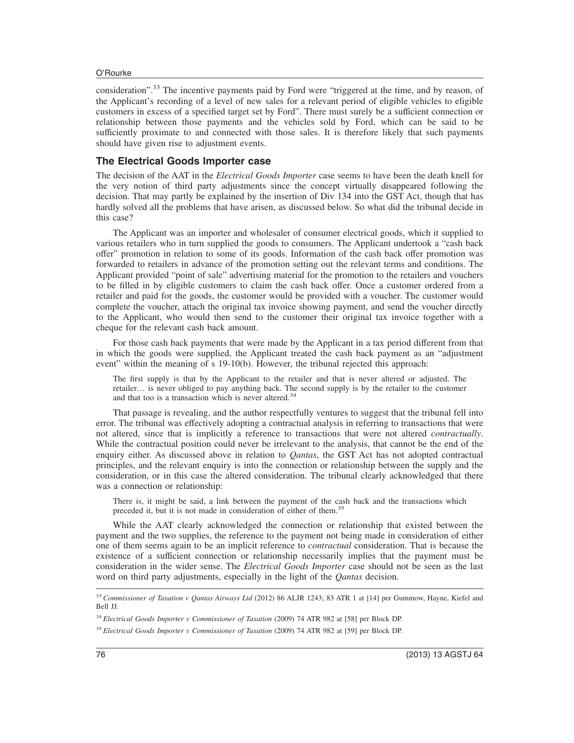consideration".<sup>33</sup> The incentive payments paid by Ford were "triggered at the time, and by reason, of the Applicant's recording of a level of new sales for a relevant period of eligible vehicles to eligible customers in excess of a specified target set by Ford". There must surely be a sufficient connection or relationship between those payments and the vehicles sold by Ford, which can be said to be sufficiently proximate to and connected with those sales. It is therefore likely that such payments should have given rise to adjustment events.

## **The Electrical Goods Importer case**

The decision of the AAT in the *Electrical Goods Importer* case seems to have been the death knell for the very notion of third party adjustments since the concept virtually disappeared following the decision. That may partly be explained by the insertion of Div 134 into the GST Act, though that has hardly solved all the problems that have arisen, as discussed below. So what did the tribunal decide in this case?

The Applicant was an importer and wholesaler of consumer electrical goods, which it supplied to various retailers who in turn supplied the goods to consumers. The Applicant undertook a "cash back offer" promotion in relation to some of its goods. Information of the cash back offer promotion was forwarded to retailers in advance of the promotion setting out the relevant terms and conditions. The Applicant provided "point of sale" advertising material for the promotion to the retailers and vouchers to be filled in by eligible customers to claim the cash back offer. Once a customer ordered from a retailer and paid for the goods, the customer would be provided with a voucher. The customer would complete the voucher, attach the original tax invoice showing payment, and send the voucher directly to the Applicant, who would then send to the customer their original tax invoice together with a cheque for the relevant cash back amount.

For those cash back payments that were made by the Applicant in a tax period different from that in which the goods were supplied, the Applicant treated the cash back payment as an "adjustment event" within the meaning of s 19-10(b). However, the tribunal rejected this approach:

The first supply is that by the Applicant to the retailer and that is never altered or adjusted. The retailer… is never obliged to pay anything back. The second supply is by the retailer to the customer and that too is a transaction which is never altered.<sup>34</sup>

That passage is revealing, and the author respectfully ventures to suggest that the tribunal fell into error. The tribunal was effectively adopting a contractual analysis in referring to transactions that were not altered, since that is implicitly a reference to transactions that were not altered *contractually*. While the contractual position could never be irrelevant to the analysis, that cannot be the end of the enquiry either. As discussed above in relation to *Qantas*, the GST Act has not adopted contractual principles, and the relevant enquiry is into the connection or relationship between the supply and the consideration, or in this case the altered consideration. The tribunal clearly acknowledged that there was a connection or relationship:

There is, it might be said, a link between the payment of the cash back and the transactions which preceded it, but it is not made in consideration of either of them.<sup>35</sup>

While the AAT clearly acknowledged the connection or relationship that existed between the payment and the two supplies, the reference to the payment not being made in consideration of either one of them seems again to be an implicit reference to *contractual* consideration. That is because the existence of a sufficient connection or relationship necessarily implies that the payment must be consideration in the wider sense. The *Electrical Goods Importer* case should not be seen as the last word on third party adjustments, especially in the light of the *Qantas* decision.

<sup>33</sup> *Commissioner of Taxation v Qantas Airways Ltd* (2012) 86 ALJR 1243; 83 ATR 1 at [14] per Gummow, Hayne, Kiefel and Bell JJ.

<sup>34</sup> *Electrical Goods Importer v Commissioner of Taxation* (2009) 74 ATR 982 at [58] per Block DP.

<sup>35</sup> *Electrical Goods Importer v Commissioner of Taxation* (2009) 74 ATR 982 at [59] per Block DP.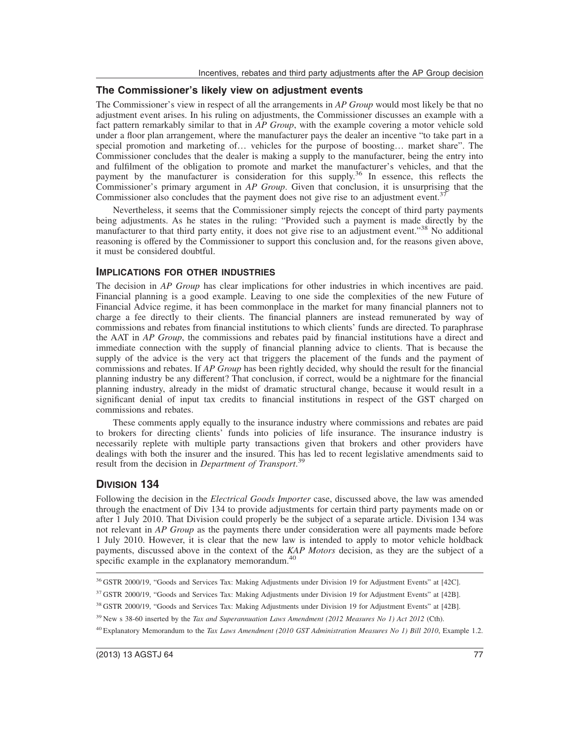#### **The Commissioner's likely view on adjustment events**

The Commissioner's view in respect of all the arrangements in *AP Group* would most likely be that no adjustment event arises. In his ruling on adjustments, the Commissioner discusses an example with a fact pattern remarkably similar to that in *AP Group*, with the example covering a motor vehicle sold under a floor plan arrangement, where the manufacturer pays the dealer an incentive "to take part in a special promotion and marketing of… vehicles for the purpose of boosting… market share". The Commissioner concludes that the dealer is making a supply to the manufacturer, being the entry into and fulfilment of the obligation to promote and market the manufacturer's vehicles, and that the payment by the manufacturer is consideration for this supply.<sup>36</sup> In essence, this reflects the Commissioner's primary argument in *AP Group*. Given that conclusion, it is unsurprising that the Commissioner also concludes that the payment does not give rise to an adjustment event.<sup>3</sup>

Nevertheless, it seems that the Commissioner simply rejects the concept of third party payments being adjustments. As he states in the ruling: "Provided such a payment is made directly by the manufacturer to that third party entity, it does not give rise to an adjustment event."<sup>38</sup> No additional reasoning is offered by the Commissioner to support this conclusion and, for the reasons given above, it must be considered doubtful.

#### **IMPLICATIONS FOR OTHER INDUSTRIES**

The decision in *AP Group* has clear implications for other industries in which incentives are paid. Financial planning is a good example. Leaving to one side the complexities of the new Future of Financial Advice regime, it has been commonplace in the market for many financial planners not to charge a fee directly to their clients. The financial planners are instead remunerated by way of commissions and rebates from financial institutions to which clients' funds are directed. To paraphrase the AAT in *AP Group*, the commissions and rebates paid by financial institutions have a direct and immediate connection with the supply of financial planning advice to clients. That is because the supply of the advice is the very act that triggers the placement of the funds and the payment of commissions and rebates. If *AP Group* has been rightly decided, why should the result for the financial planning industry be any different? That conclusion, if correct, would be a nightmare for the financial planning industry, already in the midst of dramatic structural change, because it would result in a significant denial of input tax credits to financial institutions in respect of the GST charged on commissions and rebates.

These comments apply equally to the insurance industry where commissions and rebates are paid to brokers for directing clients' funds into policies of life insurance. The insurance industry is necessarily replete with multiple party transactions given that brokers and other providers have dealings with both the insurer and the insured. This has led to recent legislative amendments said to result from the decision in *Department of Transport*. 39

# **DIVISION 134**

Following the decision in the *Electrical Goods Importer* case, discussed above, the law was amended through the enactment of Div 134 to provide adjustments for certain third party payments made on or after 1 July 2010. That Division could properly be the subject of a separate article. Division 134 was not relevant in *AP Group* as the payments there under consideration were all payments made before 1 July 2010. However, it is clear that the new law is intended to apply to motor vehicle holdback payments, discussed above in the context of the *KAP Motors* decision, as they are the subject of a specific example in the explanatory memorandum.<sup>40</sup>

<sup>36</sup> GSTR 2000/19, "Goods and Services Tax: Making Adjustments under Division 19 for Adjustment Events" at [42C].

<sup>38</sup> GSTR 2000/19, "Goods and Services Tax: Making Adjustments under Division 19 for Adjustment Events" at [42B].

<sup>40</sup> Explanatory Memorandum to the *Tax Laws Amendment (2010 GST Administration Measures No 1) Bill 2010*, Example 1.2.

<sup>&</sup>lt;sup>37</sup> GSTR 2000/19, "Goods and Services Tax: Making Adjustments under Division 19 for Adjustment Events" at [42B].

<sup>39</sup> New s 38-60 inserted by the *Tax and Superannuation Laws Amendment (2012 Measures No 1) Act 2012* (Cth).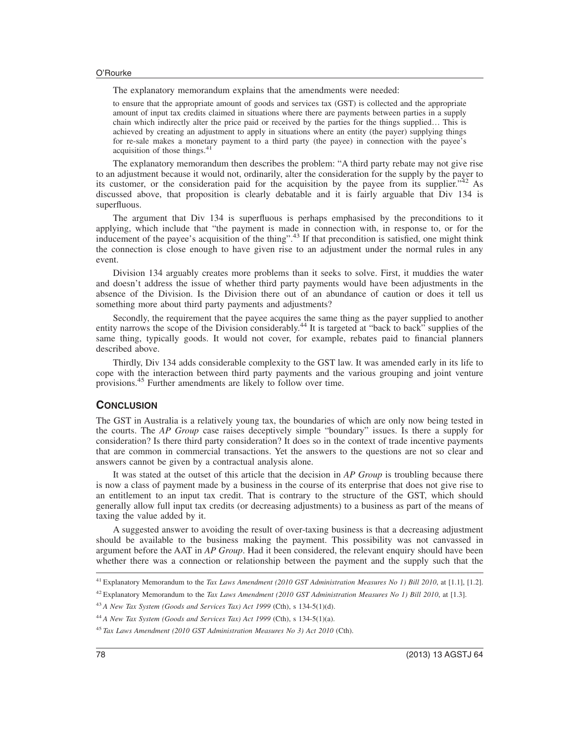The explanatory memorandum explains that the amendments were needed:

to ensure that the appropriate amount of goods and services tax (GST) is collected and the appropriate amount of input tax credits claimed in situations where there are payments between parties in a supply chain which indirectly alter the price paid or received by the parties for the things supplied… This is achieved by creating an adjustment to apply in situations where an entity (the payer) supplying things for re-sale makes a monetary payment to a third party (the payee) in connection with the payee's acquisition of those things. $41$ 

The explanatory memorandum then describes the problem: "A third party rebate may not give rise to an adjustment because it would not, ordinarily, alter the consideration for the supply by the payer to its customer, or the consideration paid for the acquisition by the payee from its supplier." $42$  As discussed above, that proposition is clearly debatable and it is fairly arguable that Div 134 is superfluous.

The argument that Div 134 is superfluous is perhaps emphasised by the preconditions to it applying, which include that "the payment is made in connection with, in response to, or for the inducement of the payee's acquisition of the thing".<sup>43</sup> If that precondition is satisfied, one might think the connection is close enough to have given rise to an adjustment under the normal rules in any event.

Division 134 arguably creates more problems than it seeks to solve. First, it muddies the water and doesn't address the issue of whether third party payments would have been adjustments in the absence of the Division. Is the Division there out of an abundance of caution or does it tell us something more about third party payments and adjustments?

Secondly, the requirement that the payee acquires the same thing as the payer supplied to another entity narrows the scope of the Division considerably.<sup>44</sup> It is targeted at "back to back" supplies of the same thing, typically goods. It would not cover, for example, rebates paid to financial planners described above.

Thirdly, Div 134 adds considerable complexity to the GST law. It was amended early in its life to cope with the interaction between third party payments and the various grouping and joint venture provisions.<sup>45</sup> Further amendments are likely to follow over time.

## **CONCLUSION**

The GST in Australia is a relatively young tax, the boundaries of which are only now being tested in the courts. The *AP Group* case raises deceptively simple "boundary" issues. Is there a supply for consideration? Is there third party consideration? It does so in the context of trade incentive payments that are common in commercial transactions. Yet the answers to the questions are not so clear and answers cannot be given by a contractual analysis alone.

It was stated at the outset of this article that the decision in *AP Group* is troubling because there is now a class of payment made by a business in the course of its enterprise that does not give rise to an entitlement to an input tax credit. That is contrary to the structure of the GST, which should generally allow full input tax credits (or decreasing adjustments) to a business as part of the means of taxing the value added by it.

A suggested answer to avoiding the result of over-taxing business is that a decreasing adjustment should be available to the business making the payment. This possibility was not canvassed in argument before the AAT in *AP Group*. Had it been considered, the relevant enquiry should have been whether there was a connection or relationship between the payment and the supply such that the

<sup>41</sup> Explanatory Memorandum to the *Tax Laws Amendment (2010 GST Administration Measures No 1) Bill 2010*, at [1.1], [1.2].

<sup>42</sup> Explanatory Memorandum to the *Tax Laws Amendment (2010 GST Administration Measures No 1) Bill 2010*, at [1.3].

<sup>43</sup> *A New Tax System (Goods and Services Tax) Act 1999* (Cth), s 134-5(1)(d).

<sup>44</sup> *A New Tax System (Goods and Services Tax) Act 1999* (Cth), s 134-5(1)(a).

<sup>45</sup> *Tax Laws Amendment (2010 GST Administration Measures No 3) Act 2010* (Cth).